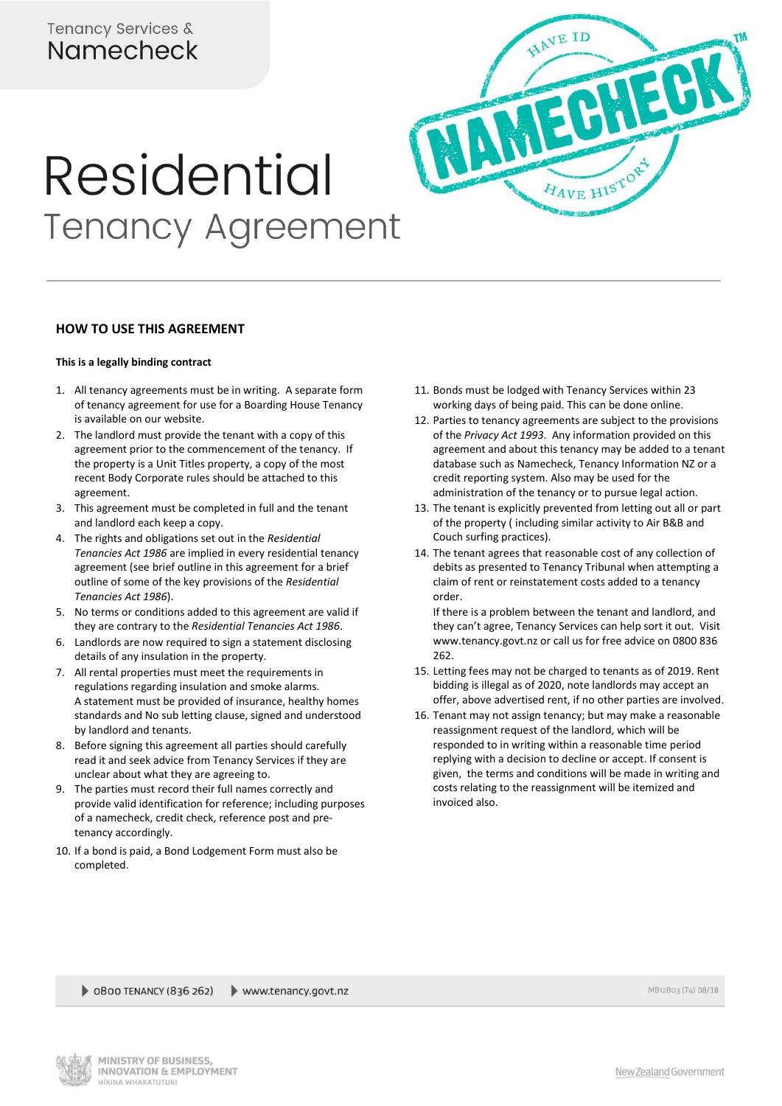# Tenancy Services & Namecheck



## **HOW TO USE THIS AGREEMENT**

## **This is a legally binding contract**

- 1. All tenancy agreements must be in writing. A separate form of tenancy agreement for use for a Boarding House Tenancy is available on our website.
- 2. The landlord must provide the tenant with a copy of this agreement prior to the commencement of the tenancy. If the property is a Unit Titles property, a copy of the most recent Body Corporate rules should be attached to this agreement.
- 3. This agreement must be completed in full and the tenant and landlord each keep a copy.
- 4. The rights and obligations set out in the *Residential Tenancies Act 1986* are implied in every residential tenancy agreement (see brief outline in this agreement for a brief outline of some of the key provisions of the *Residential Tenancies Act 1986*).
- 5. No terms or conditions added to this agreement are valid if they are contrary to the *Residential Tenancies Act 1986*.
- 6. Landlords are now required to sign a statement disclosing details of any insulation in the property.
- 7. All rental properties must meet the requirements in regulations regarding insulation and smoke alarms. A statement must be provided of insurance, healthy homes standards and No sub letting clause, signed and understood by landlord and tenants.
- 8. Before signing this agreement all parties should carefully read it and seek advice from Tenancy Services if they are unclear about what they are agreeing to.
- 9. The parties must record their full names correctly and provide valid identification for reference; including purposes of a namecheck, credit check, reference post and pretenancy accordingly.
- 10. If a bond is paid, a Bond Lodgement Form must also be completed.

11. Bonds must be lodged with Tenancy Services within 23 working days of being paid. This can be done online.

HAVE ID

- 12. Parties to tenancy agreements are subject to the provisions of the *Privacy Act 1993*. Any information provided on this agreement and about this tenancy may be added to a tenant database such as Namecheck, Tenancy Information NZ or a credit reporting system. Also may be used for the administration of the tenancy or to pursue legal action.
- 13. The tenant is explicitly prevented from letting out all or part of the property ( including similar activity to Air B&B and Couch surfing practices).
- 14. The tenant agrees that reasonable cost of any collection of debits as presented to Tenancy Tribunal when attempting a claim of rent or reinstatement costs added to a tenancy order.

If there is a problem between the tenant and landlord, and they can't agree, Tenancy Services can help sort it out. Visit www.tenancy.govt.nz or call us for free advice on 0800 836 262.

- 15. Letting fees may not be charged to tenants as of 2019. Rent bidding is illegal as of 2020, note landlords may accept an offer, above advertised rent, if no other parties are involved.
- 16. Tenant may not assign tenancy; but may make a reasonable reassignment request of the landlord, which will be responded to in writing within a reasonable time period replying with a decision to decline or accept. If consent is given, the terms and conditions will be made in writing and costs relating to the reassignment will be itemized and invoiced also.

0800 TENANCY (836 262) www.tenancy.govt.nz





New Zealand Government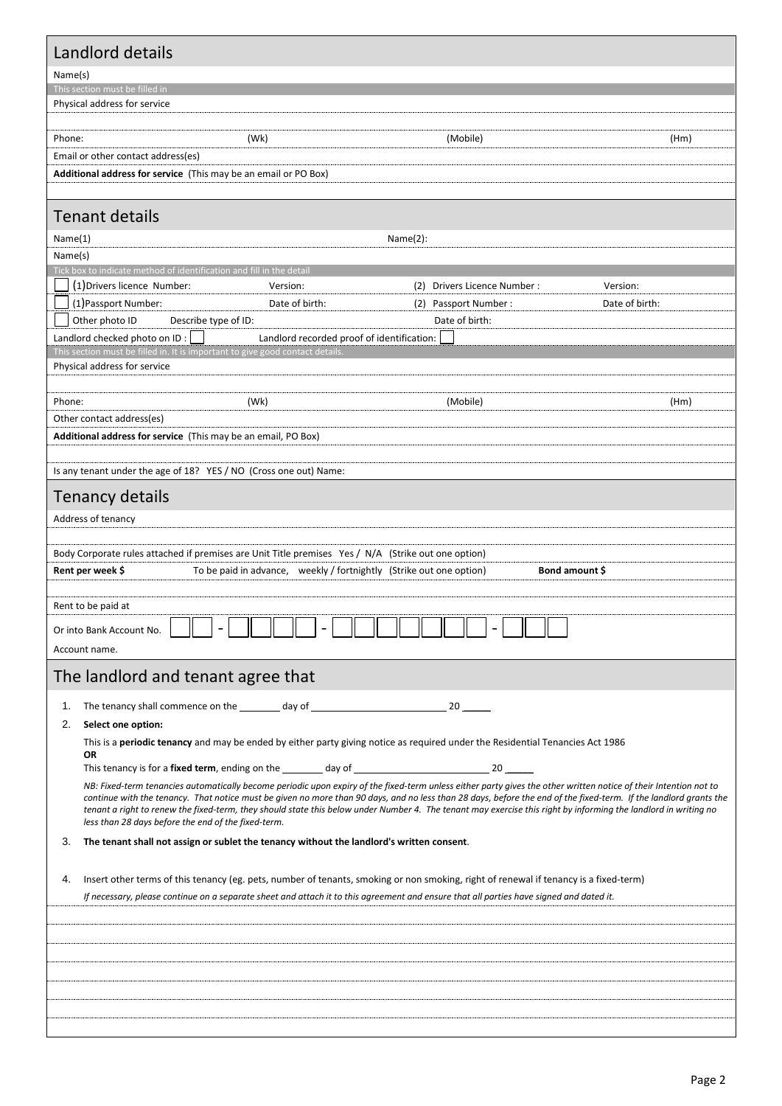| Name(s)<br>This section must be filled in                                                                                                                                                                                                                                                                                              |                             |                       |
|----------------------------------------------------------------------------------------------------------------------------------------------------------------------------------------------------------------------------------------------------------------------------------------------------------------------------------------|-----------------------------|-----------------------|
|                                                                                                                                                                                                                                                                                                                                        |                             |                       |
|                                                                                                                                                                                                                                                                                                                                        |                             |                       |
| Physical address for service                                                                                                                                                                                                                                                                                                           |                             |                       |
|                                                                                                                                                                                                                                                                                                                                        |                             |                       |
| Phone:<br>(Wk)                                                                                                                                                                                                                                                                                                                         | (Mobile)                    | (Hm)                  |
| Email or other contact address(es)<br>Additional address for service (This may be an email or PO Box)                                                                                                                                                                                                                                  |                             |                       |
|                                                                                                                                                                                                                                                                                                                                        |                             |                       |
| <b>Tenant details</b>                                                                                                                                                                                                                                                                                                                  |                             |                       |
| Name(1)                                                                                                                                                                                                                                                                                                                                | Name(2):                    |                       |
| Name(s)                                                                                                                                                                                                                                                                                                                                |                             |                       |
| Tick box to indicate method of identification and fill in the detail                                                                                                                                                                                                                                                                   |                             |                       |
| (1) Drivers licence Number:<br>Version:                                                                                                                                                                                                                                                                                                | (2) Drivers Licence Number: | Version:              |
| (1) Passport Number:<br>Date of birth:                                                                                                                                                                                                                                                                                                 | (2) Passport Number:        | Date of birth:        |
| Other photo ID<br>Describe type of ID:                                                                                                                                                                                                                                                                                                 | Date of birth:              |                       |
| Landlord checked photo on ID:<br>Landlord recorded proof of identification:<br>This section must be filled in. It is important to give good contact details                                                                                                                                                                            |                             |                       |
| Physical address for service                                                                                                                                                                                                                                                                                                           |                             |                       |
|                                                                                                                                                                                                                                                                                                                                        |                             |                       |
| Phone:<br>(Wk)                                                                                                                                                                                                                                                                                                                         | (Mobile)                    | (Hm)                  |
| Other contact address(es)                                                                                                                                                                                                                                                                                                              |                             |                       |
| Additional address for service (This may be an email, PO Box)                                                                                                                                                                                                                                                                          |                             |                       |
|                                                                                                                                                                                                                                                                                                                                        |                             |                       |
| Is any tenant under the age of 18? YES / NO (Cross one out) Name:                                                                                                                                                                                                                                                                      |                             |                       |
| <b>Tenancy details</b>                                                                                                                                                                                                                                                                                                                 |                             |                       |
| Address of tenancy                                                                                                                                                                                                                                                                                                                     |                             |                       |
|                                                                                                                                                                                                                                                                                                                                        |                             |                       |
| Body Corporate rules attached if premises are Unit Title premises Yes / N/A (Strike out one option)                                                                                                                                                                                                                                    |                             |                       |
| Rent per week \$<br>To be paid in advance, weekly / fortnightly (Strike out one option)                                                                                                                                                                                                                                                |                             | <b>Bond amount \$</b> |
| Rent to be paid at                                                                                                                                                                                                                                                                                                                     |                             |                       |
|                                                                                                                                                                                                                                                                                                                                        |                             |                       |
|                                                                                                                                                                                                                                                                                                                                        |                             |                       |
| Or into Bank Account No.                                                                                                                                                                                                                                                                                                               |                             |                       |
| Account name.                                                                                                                                                                                                                                                                                                                          |                             |                       |
| The landlord and tenant agree that                                                                                                                                                                                                                                                                                                     |                             |                       |
| The tenancy shall commence on the __________ day of ____________________________<br>1.                                                                                                                                                                                                                                                 | 20                          |                       |
| Select one option:<br>2.                                                                                                                                                                                                                                                                                                               |                             |                       |
| This is a periodic tenancy and may be ended by either party giving notice as required under the Residential Tenancies Act 1986                                                                                                                                                                                                         |                             |                       |
| OR                                                                                                                                                                                                                                                                                                                                     |                             |                       |
|                                                                                                                                                                                                                                                                                                                                        |                             |                       |
| NB: Fixed-term tenancies automatically become periodic upon expiry of the fixed-term unless either party gives the other written notice of their Intention not to<br>continue with the tenancy. That notice must be given no more than 90 days, and no less than 28 days, before the end of the fixed-term. If the landlord grants the |                             |                       |
| tenant a right to renew the fixed-term, they should state this below under Number 4. The tenant may exercise this right by informing the landlord in writing no                                                                                                                                                                        |                             |                       |
| less than 28 days before the end of the fixed-term.<br>3.<br>The tenant shall not assign or sublet the tenancy without the landlord's written consent.                                                                                                                                                                                 |                             |                       |
|                                                                                                                                                                                                                                                                                                                                        |                             |                       |
| Insert other terms of this tenancy (eg. pets, number of tenants, smoking or non smoking, right of renewal if tenancy is a fixed-term)<br>4.                                                                                                                                                                                            |                             |                       |
| If necessary, please continue on a separate sheet and attach it to this agreement and ensure that all parties have signed and dated it.                                                                                                                                                                                                |                             |                       |
|                                                                                                                                                                                                                                                                                                                                        |                             |                       |
|                                                                                                                                                                                                                                                                                                                                        |                             |                       |
|                                                                                                                                                                                                                                                                                                                                        |                             |                       |
|                                                                                                                                                                                                                                                                                                                                        |                             |                       |
|                                                                                                                                                                                                                                                                                                                                        |                             |                       |
|                                                                                                                                                                                                                                                                                                                                        |                             |                       |
|                                                                                                                                                                                                                                                                                                                                        |                             |                       |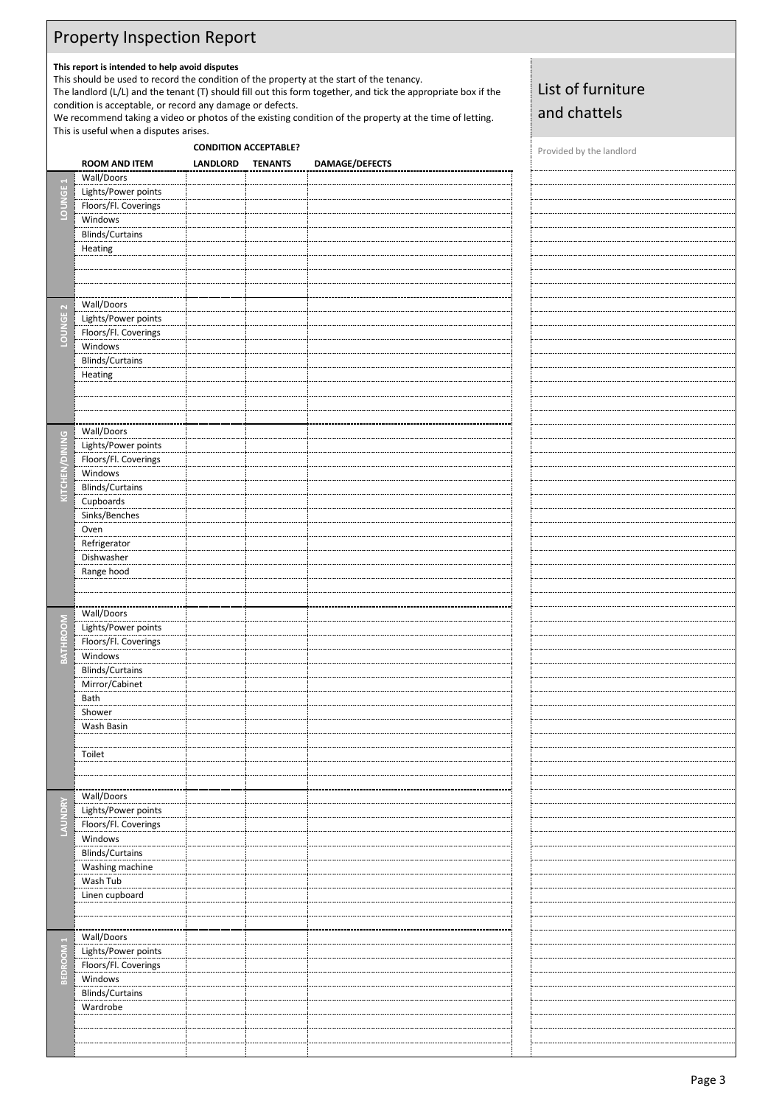# Property Inspection Report

# **This report is intended to help avoid disputes**

This should be used to record the condition of the property at the start of the tenancy.

The landlord (L/L) and the tenant (T) should fill out this form together, and tick the appropriate box if the condition is acceptable, or record any damage or defects.

We recommend taking a video or photos of the existing condition of the property at the time of letting. This is useful when a disputes arises.

# **CONDITION ACCEPTABLE? CONDITION ACCEPTABLE?**

List of furniture

and chattels

|                      | <b>ROOM AND ITEM</b>   | LANDLORD | <b>TENANTS</b> | DAMAGE/DEFECTS |  |
|----------------------|------------------------|----------|----------------|----------------|--|
|                      | Wall/Doors             |          |                |                |  |
|                      | Lights/Power points    |          |                |                |  |
|                      | Floors/Fl. Coverings   |          |                |                |  |
| LOUNGE <sub>1</sub>  | Windows                |          |                |                |  |
|                      |                        |          |                |                |  |
|                      | Blinds/Curtains        |          |                |                |  |
|                      | Heating                |          |                |                |  |
|                      |                        |          |                |                |  |
|                      |                        |          |                |                |  |
|                      |                        |          |                |                |  |
|                      | Wall/Doors             |          |                |                |  |
|                      | Lights/Power points    |          |                |                |  |
|                      | Floors/Fl. Coverings   |          |                |                |  |
| LOUNGE <sub>2</sub>  |                        |          |                |                |  |
|                      | Windows                |          |                |                |  |
|                      | <b>Blinds/Curtains</b> |          |                |                |  |
|                      | Heating                |          |                |                |  |
|                      |                        |          |                |                |  |
|                      |                        |          |                |                |  |
|                      |                        |          |                |                |  |
|                      | Wall/Doors             |          |                |                |  |
|                      | Lights/Power points    |          |                |                |  |
|                      | Floors/Fl. Coverings   |          |                |                |  |
|                      | Windows                |          |                |                |  |
| KITCHEN/DINING       | <b>Blinds/Curtains</b> |          |                |                |  |
|                      |                        |          |                |                |  |
|                      | Cupboards              |          |                |                |  |
|                      | Sinks/Benches          |          |                |                |  |
|                      | Oven                   |          |                |                |  |
|                      | Refrigerator           |          |                |                |  |
|                      | Dishwasher             |          |                |                |  |
|                      | Range hood             |          |                |                |  |
|                      |                        |          |                |                |  |
|                      |                        |          |                |                |  |
|                      | Wall/Doors             |          |                |                |  |
| BATHROOM             | Lights/Power points    |          |                |                |  |
|                      |                        |          |                |                |  |
|                      | Floors/Fl. Coverings   |          |                |                |  |
|                      | Windows                |          |                |                |  |
|                      | <b>Blinds/Curtains</b> |          |                |                |  |
|                      | Mirror/Cabinet         |          |                |                |  |
|                      | Bath                   |          |                |                |  |
|                      | Shower                 |          |                |                |  |
|                      | Wash Basin             |          |                |                |  |
|                      |                        |          |                |                |  |
|                      | Toilet                 |          |                |                |  |
|                      |                        |          |                |                |  |
|                      |                        |          |                |                |  |
|                      | Wall/Doors             |          |                |                |  |
| LAUNDRY              | Lights/Power points    |          |                |                |  |
|                      |                        |          |                |                |  |
|                      | Floors/Fl. Coverings   |          |                |                |  |
|                      | Windows                |          |                |                |  |
|                      | <b>Blinds/Curtains</b> |          |                |                |  |
|                      | Washing machine        |          |                |                |  |
|                      | Wash Tub               |          |                |                |  |
|                      | Linen cupboard         |          |                |                |  |
|                      |                        |          |                |                |  |
|                      |                        |          |                |                |  |
|                      | Wall/Doors             |          |                |                |  |
| BEDROOM <sub>1</sub> | Lights/Power points    |          |                |                |  |
|                      | Floors/Fl. Coverings   |          |                |                |  |
|                      |                        |          |                |                |  |
|                      | Windows                |          |                |                |  |
|                      | <b>Blinds/Curtains</b> |          |                |                |  |
|                      | Wardrobe               |          |                |                |  |
|                      |                        |          |                |                |  |
|                      |                        |          |                |                |  |
|                      |                        |          |                |                |  |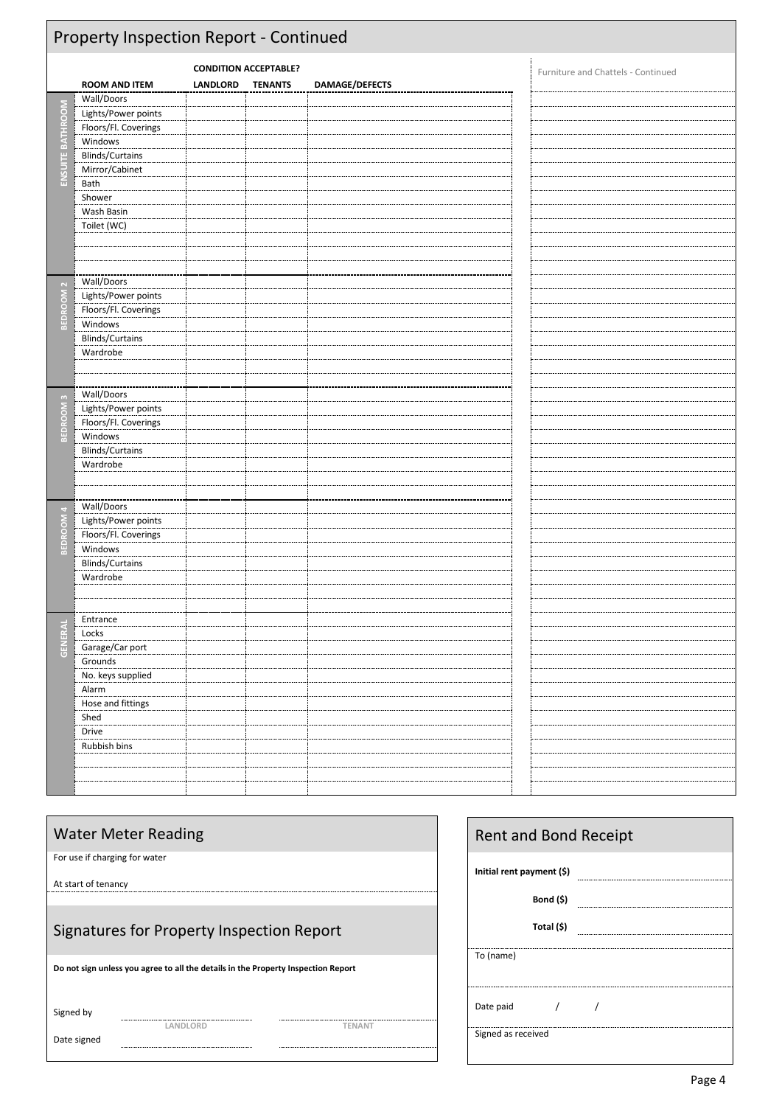| Property Inspection Report - Continued                                                                                                                          |                          |  |                                                |  |                                    |
|-----------------------------------------------------------------------------------------------------------------------------------------------------------------|--------------------------|--|------------------------------------------------|--|------------------------------------|
| <b>ROOM AND ITEM</b>                                                                                                                                            | <b>LANDLORD</b>          |  | DAMAGE/DEFECTS                                 |  | Furniture and Chattels - Continued |
| Lights/Power points<br>Floors/Fl. Coverings<br>Windows<br><b>Blinds/Curtains</b><br>Mirror/Cabinet<br>Bath<br>Shower<br>Wash Basin<br>Toilet (WC)<br>Wall/Doors |                          |  |                                                |  |                                    |
| Lights/Power points<br>Floors/Fl. Coverings<br>Windows<br><b>Blinds/Curtains</b><br>Wardrobe                                                                    |                          |  |                                                |  |                                    |
| Lights/Power points<br>Floors/Fl. Coverings<br>Windows<br><b>Blinds/Curtains</b><br>Wardrobe                                                                    |                          |  |                                                |  |                                    |
| Wall/Doors<br>Lights/Power points<br>Floors/Fl. Coverings<br>Windows<br><b>Blinds/Curtains</b><br>Wardrobe                                                      |                          |  |                                                |  |                                    |
| Entrance<br>Locks<br>Garage/Car port<br>Grounds<br>No. keys supplied<br>Alarm<br>Hose and fittings<br>Shed<br>Drive<br>Rubbish bins                             |                          |  |                                                |  |                                    |
|                                                                                                                                                                 | Wall/Doors<br>Wall/Doors |  | <b>CONDITION ACCEPTABLE?</b><br><b>TENANTS</b> |  |                                    |

|                               | <b>Water Meter Reading</b>                                                        |         |  |
|-------------------------------|-----------------------------------------------------------------------------------|---------|--|
| For use if charging for water |                                                                                   |         |  |
| At start of tenancy           |                                                                                   |         |  |
|                               | Signatures for Property Inspection Report                                         |         |  |
|                               | Do not sign unless you agree to all the details in the Property Inspection Report |         |  |
| Signed by                     |                                                                                   |         |  |
| Date signed                   |                                                                                   | ΓFN ΔN⊺ |  |

 $\ddot{ }$ 

| <b>Rent and Bond Receipt</b> |  |
|------------------------------|--|
| Initial rent payment (\$)    |  |
| Bond (\$)                    |  |
| Total (\$)                   |  |
| To (name)                    |  |
| Date paid                    |  |
| Signed as received           |  |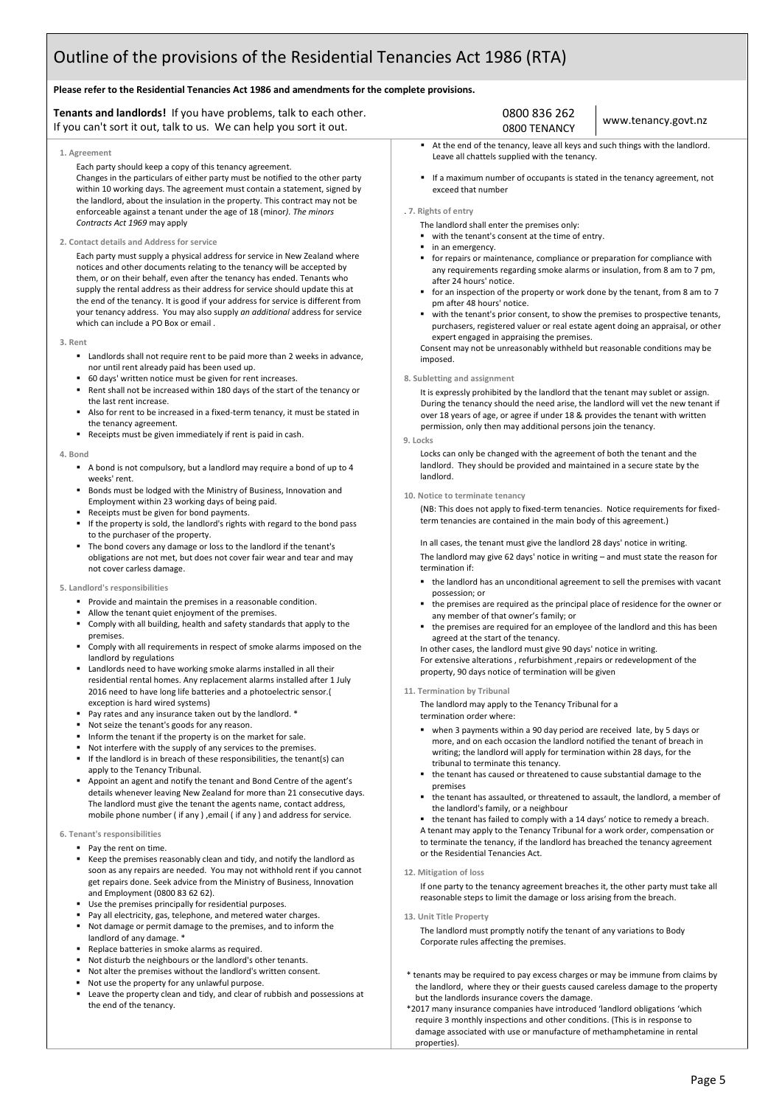# Outline of the provisions of the Residential Tenancies Act 1986 (RTA)

## **Please refer to the Residential Tenancies Act 1986 and amendments for the complete provisions.**

## **Tenants and landlords!** If you have problems, talk to each other. If you can't sort it out, talk to us. We can help you sort it out.

#### **1. Agreement**

Each party should keep a copy of this tenancy agreement. Changes in the particulars of either party must be notified to the other party within 10 working days. The agreement must contain a statement, signed by the landlord, about the insulation in the property. This contract may not be enforceable against a tenant under the age of 18 (minor*). The minors Contracts Act 1969* may apply

#### **2. Contact details and Address for service**

Each party must supply a physical address for service in New Zealand where notices and other documents relating to the tenancy will be accepted by them, or on their behalf, even after the tenancy has ended. Tenants who supply the rental address as their address for service should update this at the end of the tenancy. It is good if your address for service is different from your tenancy address. You may also supply *an additional* address for service which can include a PO Box or email .

#### **3. Rent**

- Landlords shall not require rent to be paid more than 2 weeks in advance, nor until rent already paid has been used up.
- 60 days' written notice must be given for rent increases.
- Rent shall not be increased within 180 days of the start of the tenancy or the last rent increase.
- Also for rent to be increased in a fixed-term tenancy, it must be stated in the tenancy agreement.
- Receipts must be given immediately if rent is paid in cash.

#### **4. Bond**

- A bond is not compulsory, but a landlord may require a bond of up to 4 weeks' rent.
- Bonds must be lodged with the Ministry of Business, Innovation and Employment within 23 working days of being paid.
- Receipts must be given for bond payments.
- If the property is sold, the landlord's rights with regard to the bond pass to the purchaser of the property.
- The bond covers any damage or loss to the landlord if the tenant's obligations are not met, but does not cover fair wear and tear and may not cover carless damage.

#### **5. Landlord's responsibilities**

- Provide and maintain the premises in a reasonable condition.
- Allow the tenant quiet enjoyment of the premises.
- Comply with all building, health and safety standards that apply to the premises.
- Comply with all requirements in respect of smoke alarms imposed on the landlord by regulations
- Landlords need to have working smoke alarms installed in all their residential rental homes. Any replacement alarms installed after 1 July 2016 need to have long life batteries and a photoelectric sensor.( exception is hard wired systems)
- Pay rates and any insurance taken out by the landlord. \*
- Not seize the tenant's goods for any reason.
- Inform the tenant if the property is on the market for sale.
- Not interfere with the supply of any services to the premises.
- If the landlord is in breach of these responsibilities, the tenant(s) can apply to the Tenancy Tribunal.
- Appoint an agent and notify the tenant and Bond Centre of the agent's details whenever leaving New Zealand for more than 21 consecutive days. The landlord must give the tenant the agents name, contact address, mobile phone number ( if any ) ,email ( if any ) and address for service.

#### **6. Tenant's responsibilities**

- Pay the rent on time.
- Keep the premises reasonably clean and tidy, and notify the landlord as soon as any repairs are needed. You may not withhold rent if you cannot get repairs done. Seek advice from the Ministry of Business, Innovation and Employment (0800 83 62 62).
- Use the premises principally for residential purposes.
- Pay all electricity, gas, telephone, and metered water charges.
- Not damage or permit damage to the premises, and to inform the landlord of any damage.<sup>5</sup>
- Replace batteries in smoke alarms as required.
- Not disturb the neighbours or the landlord's other tenants.
- Not alter the premises without the landlord's written consent.
- Not use the property for any unlawful purpose
- Leave the property clean and tidy, and clear of rubbish and possessions at the end of the tenancy.

## 0800 836 262 0800 TENANCY

■ At the end of the tenancy, leave all keys and such things with the landlord. Leave all chattels supplied with the tenancy.

www.tenancy.govt.nz

■ If a maximum number of occupants is stated in the tenancy agreement, not exceed that number

#### . **7. Rights of entry**

- The landlord shall enter the premises only:
- with the tenant's consent at the time of entry.
- in an emergency.
- for repairs or maintenance, compliance or preparation for compliance with any requirements regarding smoke alarms or insulation, from 8 am to 7 pm, after 24 hours' notice.
- for an inspection of the property or work done by the tenant, from 8 am to 7 pm after 48 hours' notice.
- with the tenant's prior consent, to show the premises to prospective tenants, purchasers, registered valuer or real estate agent doing an appraisal, or other expert engaged in appraising the premises.

Consent may not be unreasonably withheld but reasonable conditions may be imposed.

#### **8. Subletting and assignment**

It is expressly prohibited by the landlord that the tenant may sublet or assign. During the tenancy should the need arise, the landlord will vet the new tenant if over 18 years of age, or agree if under 18 & provides the tenant with written permission, only then may additional persons join the tenancy.

#### **9. Locks**

Locks can only be changed with the agreement of both the tenant and the landlord. They should be provided and maintained in a secure state by the landlord.

#### **10. Notice to terminate tenancy**

(NB: This does not apply to fixed-term tenancies. Notice requirements for fixedterm tenancies are contained in the main body of this agreement.)

In all cases, the tenant must give the landlord 28 days' notice in writing. The landlord may give 62 days' notice in writing – and must state the reason for termination if:

- the landlord has an unconditional agreement to sell the premises with vacant possession; or
- the premises are required as the principal place of residence for the owner or any member of that owner's family; or
- the premises are required for an employee of the landlord and this has been agreed at the start of the tenancy.

In other cases, the landlord must give 90 days' notice in writing. For extensive alterations , refurbishment ,repairs or redevelopment of the property, 90 days notice of termination will be given

#### **11. Termination by Tribunal**

The landlord may apply to the Tenancy Tribunal for a

- termination order where:
- when 3 payments within a 90 day period are received late, by 5 days or more, and on each occasion the landlord notified the tenant of breach in writing; the landlord will apply for termination within 28 days, for the tribunal to terminate this tenancy.
- the tenant has caused or threatened to cause substantial damage to the premises
- the tenant has assaulted, or threatened to assault, the landlord, a member of the landlord's family, or a neighbour
- the tenant has failed to comply with a 14 days' notice to remedy a breach. A tenant may apply to the Tenancy Tribunal for a work order, compensation or to terminate the tenancy, if the landlord has breached the tenancy agreement or the Residential Tenancies Act.

#### **12. Mitigation of loss**

If one party to the tenancy agreement breaches it, the other party must take all reasonable steps to limit the damage or loss arising from the breach.

#### **13. Unit Title Property**

The landlord must promptly notify the tenant of any variations to Body Corporate rules affecting the premises.

- \* tenants may be required to pay excess charges or may be immune from claims by the landlord, where they or their guests caused careless damage to the property but the landlords insurance covers the damage.
- \*2017 many insurance companies have introduced 'landlord obligations 'which require 3 monthly inspections and other conditions. (This is in response to damage associated with use or manufacture of methamphetamine in rental properties).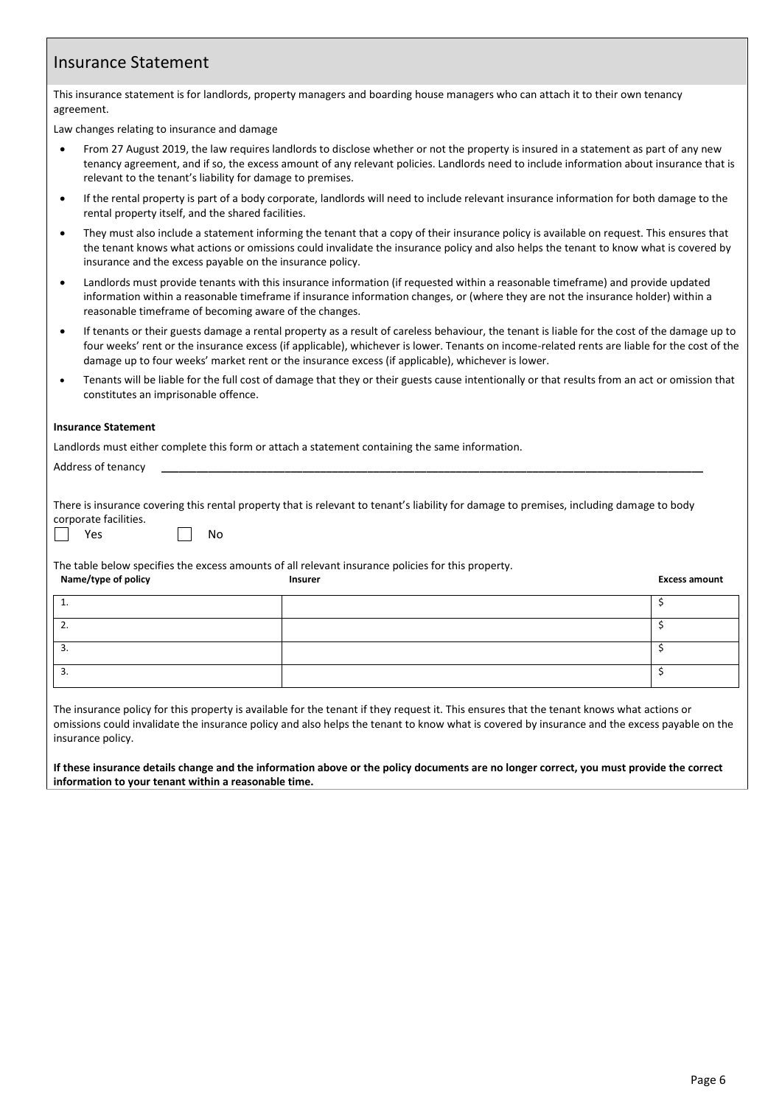# Insurance Statement

This insurance statement is for landlords, property managers and boarding house managers who can attach it to their own tenancy agreement.

Law changes relating to insurance and damage

- From 27 August 2019, the law requires landlords to disclose whether or not the property is insured in a statement as part of any new tenancy agreement, and if so, the excess amount of any relevant policies. Landlords need to include information about insurance that is relevant to the tenant's liability for damage to premises.
- If the rental property is part of a body corporate, landlords will need to include relevant insurance information for both damage to the rental property itself, and the shared facilities.
- They must also include a statement informing the tenant that a copy of their insurance policy is available on request. This ensures that the tenant knows what actions or omissions could invalidate the insurance policy and also helps the tenant to know what is covered by insurance and the excess payable on the insurance policy.
- Landlords must provide tenants with this insurance information (if requested within a reasonable timeframe) and provide updated information within a reasonable timeframe if insurance information changes, or (where they are not the insurance holder) within a reasonable timeframe of becoming aware of the changes.
- If tenants or their guests damage a rental property as a result of careless behaviour, the tenant is liable for the cost of the damage up to four weeks' rent or the insurance excess (if applicable), whichever is lower. Tenants on income-related rents are liable for the cost of the damage up to four weeks' market rent or the insurance excess (if applicable), whichever is lower.
- Tenants will be liable for the full cost of damage that they or their guests cause intentionally or that results from an act or omission that constitutes an imprisonable offence.

## **Insurance Statement**

Landlords must either complete this form or attach a statement containing the same information.

Address of tenancy

There is insurance covering this rental property that is relevant to tenant's liability for damage to premises, including damage to body corporate facilities.

Yes | No

The table below specifies the excess amounts of all relevant insurance policies for this property. **Name/type of policy Insurer Excess amount**

| <u>.</u> |  |
|----------|--|
|          |  |

The insurance policy for this property is available for the tenant if they request it. This ensures that the tenant knows what actions or omissions could invalidate the insurance policy and also helps the tenant to know what is covered by insurance and the excess payable on the insurance policy.

**If these insurance details change and the information above or the policy documents are no longer correct, you must provide the correct information to your tenant within a reasonable time.**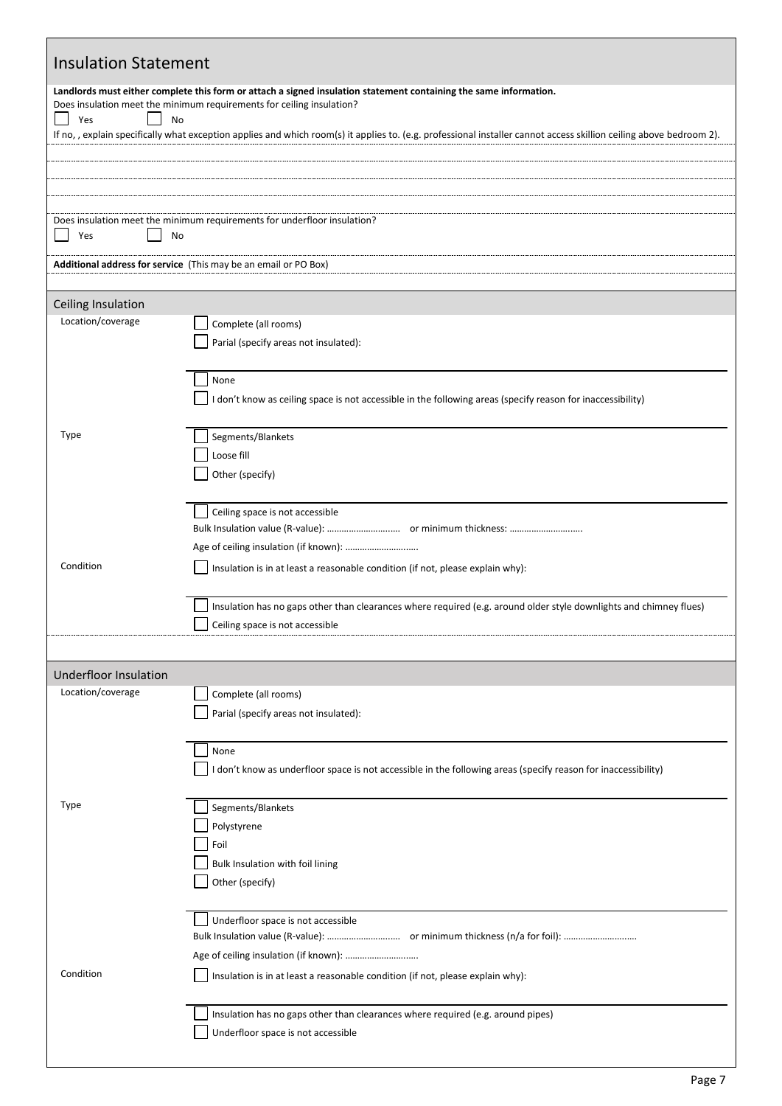| <b>Insulation Statement</b>                                                                                                                                                                             |                                                                                                                     |  |  |  |  |
|---------------------------------------------------------------------------------------------------------------------------------------------------------------------------------------------------------|---------------------------------------------------------------------------------------------------------------------|--|--|--|--|
| Landlords must either complete this form or attach a signed insulation statement containing the same information.<br>Does insulation meet the minimum requirements for ceiling insulation?<br>No<br>Yes |                                                                                                                     |  |  |  |  |
| If no, , explain specifically what exception applies and which room(s) it applies to. (e.g. professional installer cannot access skillion ceiling above bedroom 2).                                     |                                                                                                                     |  |  |  |  |
|                                                                                                                                                                                                         |                                                                                                                     |  |  |  |  |
| Yes<br>No                                                                                                                                                                                               | Does insulation meet the minimum requirements for underfloor insulation?                                            |  |  |  |  |
|                                                                                                                                                                                                         | Additional address for service (This may be an email or PO Box)                                                     |  |  |  |  |
| Ceiling Insulation                                                                                                                                                                                      |                                                                                                                     |  |  |  |  |
| Location/coverage                                                                                                                                                                                       | Complete (all rooms)<br>Parial (specify areas not insulated):                                                       |  |  |  |  |
|                                                                                                                                                                                                         |                                                                                                                     |  |  |  |  |
|                                                                                                                                                                                                         | None<br>I don't know as ceiling space is not accessible in the following areas (specify reason for inaccessibility) |  |  |  |  |
| Type                                                                                                                                                                                                    | Segments/Blankets                                                                                                   |  |  |  |  |
|                                                                                                                                                                                                         | Loose fill                                                                                                          |  |  |  |  |
|                                                                                                                                                                                                         | Other (specify)                                                                                                     |  |  |  |  |
|                                                                                                                                                                                                         | Ceiling space is not accessible                                                                                     |  |  |  |  |
|                                                                                                                                                                                                         |                                                                                                                     |  |  |  |  |
| Condition                                                                                                                                                                                               | Insulation is in at least a reasonable condition (if not, please explain why):                                      |  |  |  |  |
|                                                                                                                                                                                                         | Insulation has no gaps other than clearances where required (e.g. around older style downlights and chimney flues)  |  |  |  |  |
|                                                                                                                                                                                                         | Ceiling space is not accessible                                                                                     |  |  |  |  |
| <b>Underfloor Insulation</b>                                                                                                                                                                            |                                                                                                                     |  |  |  |  |
| Location/coverage                                                                                                                                                                                       | Complete (all rooms)                                                                                                |  |  |  |  |
|                                                                                                                                                                                                         | Parial (specify areas not insulated):                                                                               |  |  |  |  |
|                                                                                                                                                                                                         | None                                                                                                                |  |  |  |  |
|                                                                                                                                                                                                         | I don't know as underfloor space is not accessible in the following areas (specify reason for inaccessibility)      |  |  |  |  |
| <b>Type</b>                                                                                                                                                                                             | Segments/Blankets                                                                                                   |  |  |  |  |
|                                                                                                                                                                                                         | Polystyrene<br>Foil                                                                                                 |  |  |  |  |
|                                                                                                                                                                                                         | Bulk Insulation with foil lining                                                                                    |  |  |  |  |
|                                                                                                                                                                                                         | Other (specify)                                                                                                     |  |  |  |  |
|                                                                                                                                                                                                         | Underfloor space is not accessible                                                                                  |  |  |  |  |
|                                                                                                                                                                                                         |                                                                                                                     |  |  |  |  |
| Condition                                                                                                                                                                                               | Insulation is in at least a reasonable condition (if not, please explain why):                                      |  |  |  |  |
|                                                                                                                                                                                                         |                                                                                                                     |  |  |  |  |
|                                                                                                                                                                                                         | Insulation has no gaps other than clearances where required (e.g. around pipes)                                     |  |  |  |  |
|                                                                                                                                                                                                         | Underfloor space is not accessible                                                                                  |  |  |  |  |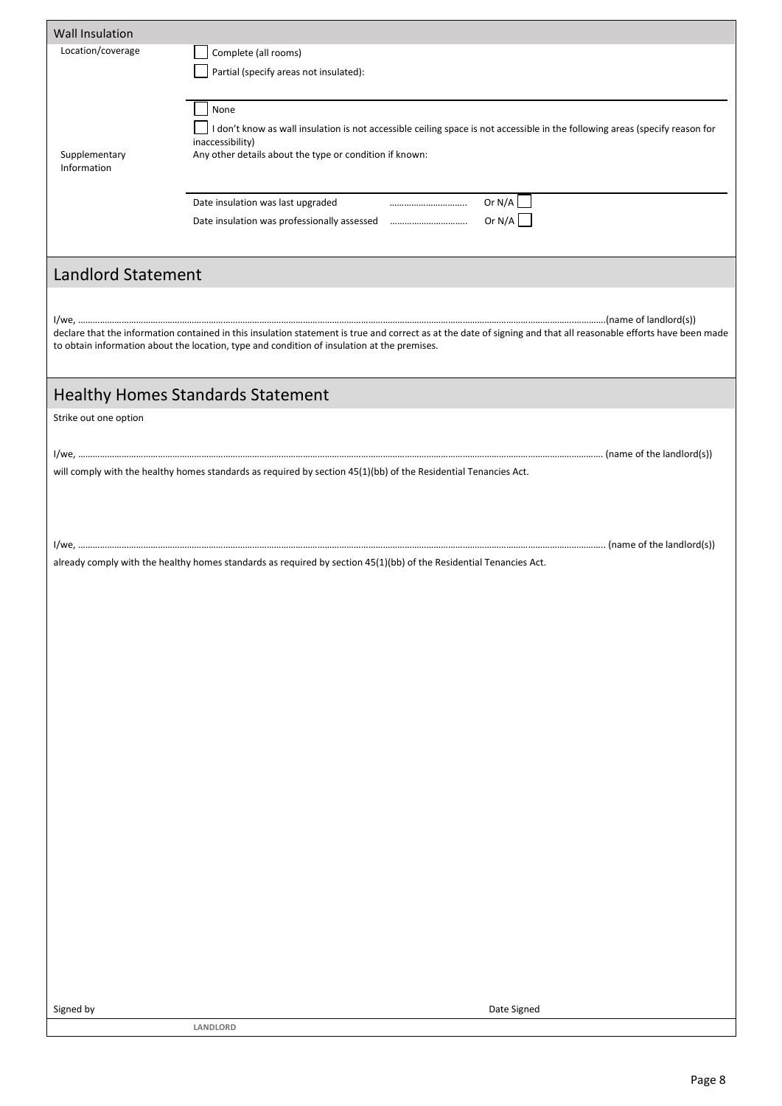| <b>Wall Insulation</b>    |                                                                                                                                                                  |
|---------------------------|------------------------------------------------------------------------------------------------------------------------------------------------------------------|
| Location/coverage         | Complete (all rooms)                                                                                                                                             |
|                           | Partial (specify areas not insulated):                                                                                                                           |
|                           |                                                                                                                                                                  |
|                           |                                                                                                                                                                  |
|                           | None                                                                                                                                                             |
|                           | I don't know as wall insulation is not accessible ceiling space is not accessible in the following areas (specify reason for<br>inaccessibility)                 |
| Supplementary             | Any other details about the type or condition if known:                                                                                                          |
| Information               |                                                                                                                                                                  |
|                           |                                                                                                                                                                  |
|                           | Date insulation was last upgraded                                                                                                                                |
|                           |                                                                                                                                                                  |
|                           |                                                                                                                                                                  |
| <b>Landlord Statement</b> |                                                                                                                                                                  |
|                           |                                                                                                                                                                  |
|                           |                                                                                                                                                                  |
|                           | declare that the information contained in this insulation statement is true and correct as at the date of signing and that all reasonable efforts have been made |
|                           | to obtain information about the location, type and condition of insulation at the premises.                                                                      |
|                           |                                                                                                                                                                  |
|                           |                                                                                                                                                                  |
|                           | <b>Healthy Homes Standards Statement</b>                                                                                                                         |
| Strike out one option     |                                                                                                                                                                  |
|                           |                                                                                                                                                                  |
|                           |                                                                                                                                                                  |
|                           | will comply with the healthy homes standards as required by section 45(1)(bb) of the Residential Tenancies Act.                                                  |
|                           |                                                                                                                                                                  |
|                           |                                                                                                                                                                  |
|                           |                                                                                                                                                                  |
|                           |                                                                                                                                                                  |
|                           | already comply with the healthy homes standards as required by section 45(1)(bb) of the Residential Tenancies Act.                                               |
|                           |                                                                                                                                                                  |
|                           |                                                                                                                                                                  |
|                           |                                                                                                                                                                  |
|                           |                                                                                                                                                                  |
|                           |                                                                                                                                                                  |
|                           |                                                                                                                                                                  |
|                           |                                                                                                                                                                  |
|                           |                                                                                                                                                                  |
|                           |                                                                                                                                                                  |
|                           |                                                                                                                                                                  |
|                           |                                                                                                                                                                  |
|                           |                                                                                                                                                                  |
|                           |                                                                                                                                                                  |
|                           |                                                                                                                                                                  |
|                           |                                                                                                                                                                  |
|                           |                                                                                                                                                                  |
|                           |                                                                                                                                                                  |
|                           |                                                                                                                                                                  |
|                           |                                                                                                                                                                  |
|                           |                                                                                                                                                                  |
|                           |                                                                                                                                                                  |
|                           |                                                                                                                                                                  |
|                           |                                                                                                                                                                  |
|                           |                                                                                                                                                                  |
| Signed by                 | Date Signed                                                                                                                                                      |
|                           | LANDLORD                                                                                                                                                         |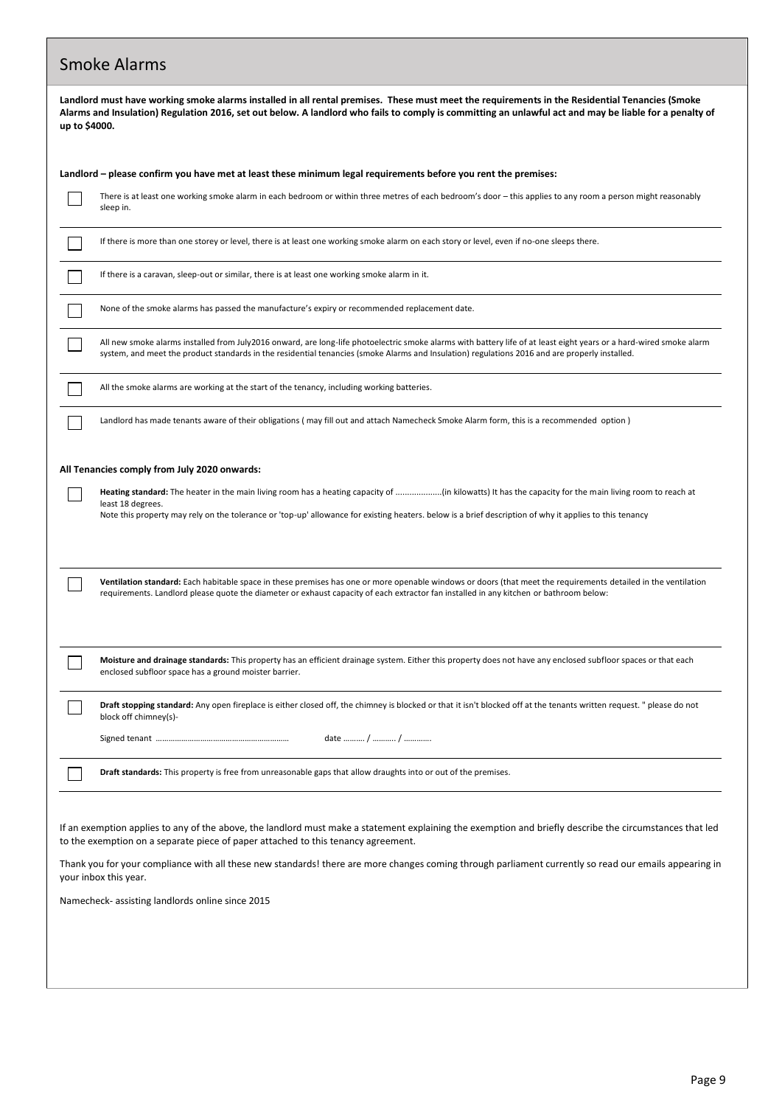| <b>Smoke Alarms</b>                                                                                                                                                                                                                                                                                                                                                                                                                                                                  |
|--------------------------------------------------------------------------------------------------------------------------------------------------------------------------------------------------------------------------------------------------------------------------------------------------------------------------------------------------------------------------------------------------------------------------------------------------------------------------------------|
| Landlord must have working smoke alarms installed in all rental premises. These must meet the requirements in the Residential Tenancies (Smoke<br>Alarms and Insulation) Regulation 2016, set out below. A landlord who fails to comply is committing an unlawful act and may be liable for a penalty of<br>up to \$4000.                                                                                                                                                            |
| Landlord – please confirm you have met at least these minimum legal requirements before you rent the premises:                                                                                                                                                                                                                                                                                                                                                                       |
| There is at least one working smoke alarm in each bedroom or within three metres of each bedroom's door - this applies to any room a person might reasonably<br>sleep in.                                                                                                                                                                                                                                                                                                            |
| If there is more than one storey or level, there is at least one working smoke alarm on each story or level, even if no-one sleeps there.                                                                                                                                                                                                                                                                                                                                            |
| If there is a caravan, sleep-out or similar, there is at least one working smoke alarm in it.                                                                                                                                                                                                                                                                                                                                                                                        |
| None of the smoke alarms has passed the manufacture's expiry or recommended replacement date.                                                                                                                                                                                                                                                                                                                                                                                        |
| All new smoke alarms installed from July2016 onward, are long-life photoelectric smoke alarms with battery life of at least eight years or a hard-wired smoke alarm<br>system, and meet the product standards in the residential tenancies (smoke Alarms and Insulation) regulations 2016 and are properly installed.                                                                                                                                                                |
| All the smoke alarms are working at the start of the tenancy, including working batteries.                                                                                                                                                                                                                                                                                                                                                                                           |
| Landlord has made tenants aware of their obligations (may fill out and attach Namecheck Smoke Alarm form, this is a recommended option)                                                                                                                                                                                                                                                                                                                                              |
| All Tenancies comply from July 2020 onwards:<br>least 18 degrees.<br>Note this property may rely on the tolerance or 'top-up' allowance for existing heaters. below is a brief description of why it applies to this tenancy                                                                                                                                                                                                                                                         |
| Ventilation standard: Each habitable space in these premises has one or more openable windows or doors (that meet the requirements detailed in the ventilation<br>requirements. Landlord please quote the diameter or exhaust capacity of each extractor fan installed in any kitchen or bathroom below:                                                                                                                                                                             |
| Moisture and drainage standards: This property has an efficient drainage system. Either this property does not have any enclosed subfloor spaces or that each<br>enclosed subfloor space has a ground moister barrier.                                                                                                                                                                                                                                                               |
| Draft stopping standard: Any open fireplace is either closed off, the chimney is blocked or that it isn't blocked off at the tenants written request. " please do not<br>block off chimney(s)-                                                                                                                                                                                                                                                                                       |
|                                                                                                                                                                                                                                                                                                                                                                                                                                                                                      |
| Draft standards: This property is free from unreasonable gaps that allow draughts into or out of the premises.                                                                                                                                                                                                                                                                                                                                                                       |
| If an exemption applies to any of the above, the landlord must make a statement explaining the exemption and briefly describe the circumstances that led<br>to the exemption on a separate piece of paper attached to this tenancy agreement.<br>Thank you for your compliance with all these new standards! there are more changes coming through parliament currently so read our emails appearing in<br>your inbox this year.<br>Namecheck- assisting landlords online since 2015 |
|                                                                                                                                                                                                                                                                                                                                                                                                                                                                                      |